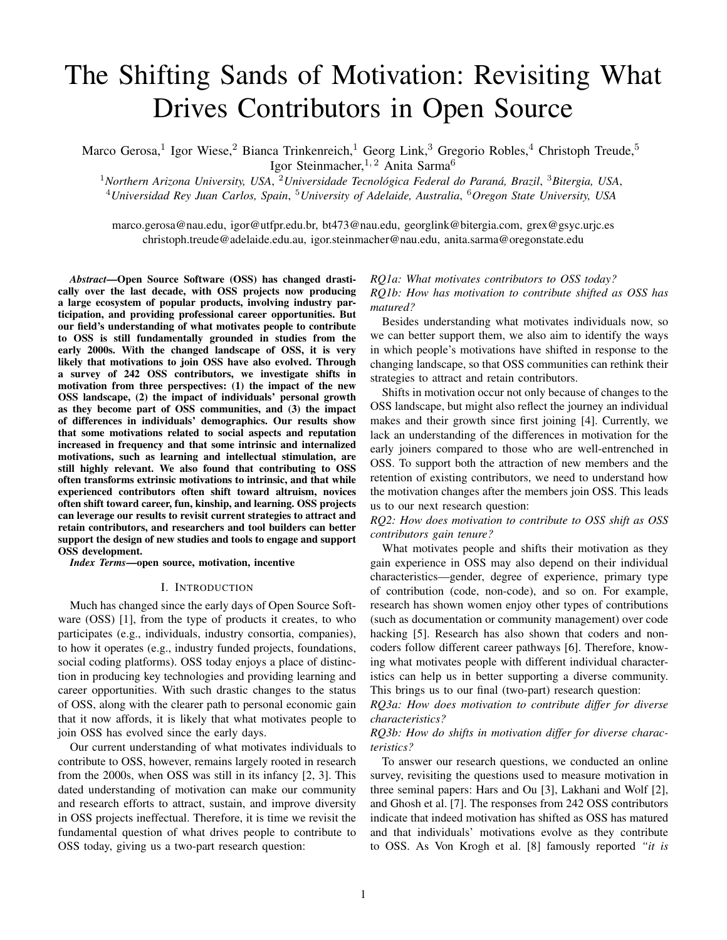# The Shifting Sands of Motivation: Revisiting What Drives Contributors in Open Source

Marco Gerosa,<sup>1</sup> Igor Wiese,<sup>2</sup> Bianca Trinkenreich,<sup>1</sup> Georg Link,<sup>3</sup> Gregorio Robles,<sup>4</sup> Christoph Treude,<sup>5</sup> Igor Steinmacher, <sup>1, 2</sup> Anita Sarma<sup>6</sup>

<sup>1</sup>Northern Arizona University, USA, <sup>2</sup>Universidade Tecnológica Federal do Paraná, Brazil, <sup>3</sup>Bitergia, USA, <sup>4</sup>*Universidad Rey Juan Carlos, Spain*, <sup>5</sup>*University of Adelaide, Australia*, <sup>6</sup>*Oregon State University, USA*

marco.gerosa@nau.edu, igor@utfpr.edu.br, bt473@nau.edu, georglink@bitergia.com, grex@gsyc.urjc.es christoph.treude@adelaide.edu.au, igor.steinmacher@nau.edu, anita.sarma@oregonstate.edu

*Abstract*—Open Source Software (OSS) has changed drastically over the last decade, with OSS projects now producing a large ecosystem of popular products, involving industry participation, and providing professional career opportunities. But our field's understanding of what motivates people to contribute to OSS is still fundamentally grounded in studies from the early 2000s. With the changed landscape of OSS, it is very likely that motivations to join OSS have also evolved. Through a survey of 242 OSS contributors, we investigate shifts in motivation from three perspectives: (1) the impact of the new OSS landscape, (2) the impact of individuals' personal growth as they become part of OSS communities, and (3) the impact of differences in individuals' demographics. Our results show that some motivations related to social aspects and reputation increased in frequency and that some intrinsic and internalized motivations, such as learning and intellectual stimulation, are still highly relevant. We also found that contributing to OSS often transforms extrinsic motivations to intrinsic, and that while experienced contributors often shift toward altruism, novices often shift toward career, fun, kinship, and learning. OSS projects can leverage our results to revisit current strategies to attract and retain contributors, and researchers and tool builders can better support the design of new studies and tools to engage and support OSS development.

*Index Terms*—open source, motivation, incentive

#### I. INTRODUCTION

Much has changed since the early days of Open Source Software (OSS) [1], from the type of products it creates, to who participates (e.g., individuals, industry consortia, companies), to how it operates (e.g., industry funded projects, foundations, social coding platforms). OSS today enjoys a place of distinction in producing key technologies and providing learning and career opportunities. With such drastic changes to the status of OSS, along with the clearer path to personal economic gain that it now affords, it is likely that what motivates people to join OSS has evolved since the early days.

Our current understanding of what motivates individuals to contribute to OSS, however, remains largely rooted in research from the 2000s, when OSS was still in its infancy [2, 3]. This dated understanding of motivation can make our community and research efforts to attract, sustain, and improve diversity in OSS projects ineffectual. Therefore, it is time we revisit the fundamental question of what drives people to contribute to OSS today, giving us a two-part research question:

# *RQ1a: What motivates contributors to OSS today? RQ1b: How has motivation to contribute shifted as OSS has matured?*

Besides understanding what motivates individuals now, so we can better support them, we also aim to identify the ways in which people's motivations have shifted in response to the changing landscape, so that OSS communities can rethink their strategies to attract and retain contributors.

Shifts in motivation occur not only because of changes to the OSS landscape, but might also reflect the journey an individual makes and their growth since first joining [4]. Currently, we lack an understanding of the differences in motivation for the early joiners compared to those who are well-entrenched in OSS. To support both the attraction of new members and the retention of existing contributors, we need to understand how the motivation changes after the members join OSS. This leads us to our next research question:

*RQ2: How does motivation to contribute to OSS shift as OSS contributors gain tenure?*

What motivates people and shifts their motivation as they gain experience in OSS may also depend on their individual characteristics—gender, degree of experience, primary type of contribution (code, non-code), and so on. For example, research has shown women enjoy other types of contributions (such as documentation or community management) over code hacking [5]. Research has also shown that coders and noncoders follow different career pathways [6]. Therefore, knowing what motivates people with different individual characteristics can help us in better supporting a diverse community. This brings us to our final (two-part) research question:

*RQ3a: How does motivation to contribute differ for diverse characteristics?*

# *RQ3b: How do shifts in motivation differ for diverse characteristics?*

To answer our research questions, we conducted an online survey, revisiting the questions used to measure motivation in three seminal papers: Hars and Ou [3], Lakhani and Wolf [2], and Ghosh et al. [7]. The responses from 242 OSS contributors indicate that indeed motivation has shifted as OSS has matured and that individuals' motivations evolve as they contribute to OSS. As Von Krogh et al. [8] famously reported *"it is*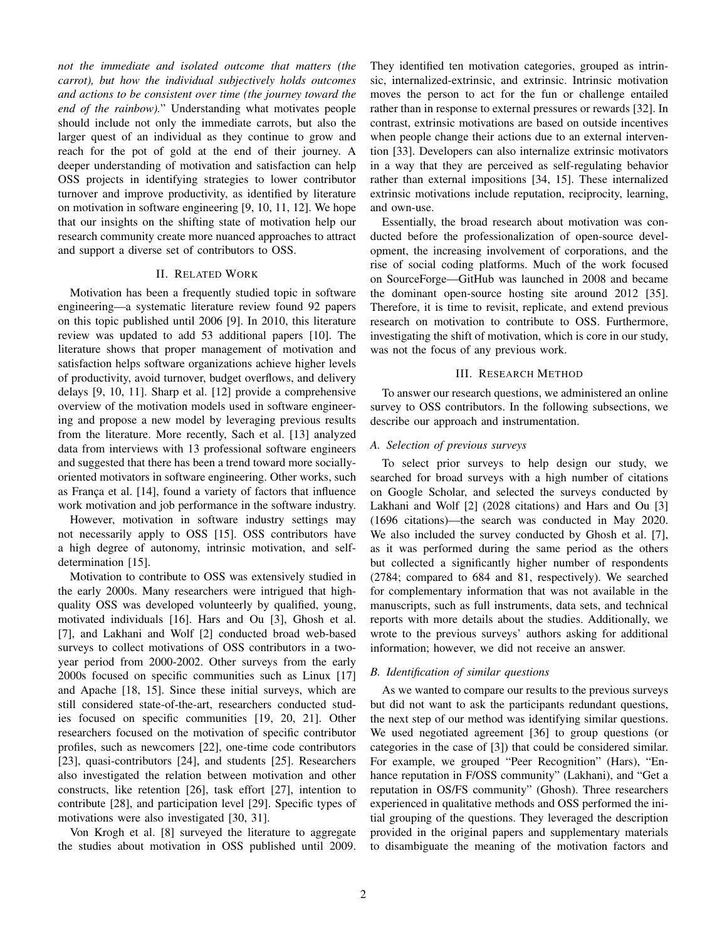*not the immediate and isolated outcome that matters (the carrot), but how the individual subjectively holds outcomes and actions to be consistent over time (the journey toward the end of the rainbow).*" Understanding what motivates people should include not only the immediate carrots, but also the larger quest of an individual as they continue to grow and reach for the pot of gold at the end of their journey. A deeper understanding of motivation and satisfaction can help OSS projects in identifying strategies to lower contributor turnover and improve productivity, as identified by literature on motivation in software engineering [9, 10, 11, 12]. We hope that our insights on the shifting state of motivation help our research community create more nuanced approaches to attract and support a diverse set of contributors to OSS.

## II. RELATED WORK

Motivation has been a frequently studied topic in software engineering—a systematic literature review found 92 papers on this topic published until 2006 [9]. In 2010, this literature review was updated to add 53 additional papers [10]. The literature shows that proper management of motivation and satisfaction helps software organizations achieve higher levels of productivity, avoid turnover, budget overflows, and delivery delays [9, 10, 11]. Sharp et al. [12] provide a comprehensive overview of the motivation models used in software engineering and propose a new model by leveraging previous results from the literature. More recently, Sach et al. [13] analyzed data from interviews with 13 professional software engineers and suggested that there has been a trend toward more sociallyoriented motivators in software engineering. Other works, such as França et al. [14], found a variety of factors that influence work motivation and job performance in the software industry.

However, motivation in software industry settings may not necessarily apply to OSS [15]. OSS contributors have a high degree of autonomy, intrinsic motivation, and selfdetermination [15].

Motivation to contribute to OSS was extensively studied in the early 2000s. Many researchers were intrigued that highquality OSS was developed volunteerly by qualified, young, motivated individuals [16]. Hars and Ou [3], Ghosh et al. [7], and Lakhani and Wolf [2] conducted broad web-based surveys to collect motivations of OSS contributors in a twoyear period from 2000-2002. Other surveys from the early 2000s focused on specific communities such as Linux [17] and Apache [18, 15]. Since these initial surveys, which are still considered state-of-the-art, researchers conducted studies focused on specific communities [19, 20, 21]. Other researchers focused on the motivation of specific contributor profiles, such as newcomers [22], one-time code contributors [23], quasi-contributors [24], and students [25]. Researchers also investigated the relation between motivation and other constructs, like retention [26], task effort [27], intention to contribute [28], and participation level [29]. Specific types of motivations were also investigated [30, 31].

Von Krogh et al. [8] surveyed the literature to aggregate the studies about motivation in OSS published until 2009. They identified ten motivation categories, grouped as intrinsic, internalized-extrinsic, and extrinsic. Intrinsic motivation moves the person to act for the fun or challenge entailed rather than in response to external pressures or rewards [32]. In contrast, extrinsic motivations are based on outside incentives when people change their actions due to an external intervention [33]. Developers can also internalize extrinsic motivators in a way that they are perceived as self-regulating behavior rather than external impositions [34, 15]. These internalized extrinsic motivations include reputation, reciprocity, learning, and own-use.

Essentially, the broad research about motivation was conducted before the professionalization of open-source development, the increasing involvement of corporations, and the rise of social coding platforms. Much of the work focused on SourceForge—GitHub was launched in 2008 and became the dominant open-source hosting site around 2012 [35]. Therefore, it is time to revisit, replicate, and extend previous research on motivation to contribute to OSS. Furthermore, investigating the shift of motivation, which is core in our study, was not the focus of any previous work.

## III. RESEARCH METHOD

To answer our research questions, we administered an online survey to OSS contributors. In the following subsections, we describe our approach and instrumentation.

## *A. Selection of previous surveys*

To select prior surveys to help design our study, we searched for broad surveys with a high number of citations on Google Scholar, and selected the surveys conducted by Lakhani and Wolf [2] (2028 citations) and Hars and Ou [3] (1696 citations)—the search was conducted in May 2020. We also included the survey conducted by Ghosh et al. [7], as it was performed during the same period as the others but collected a significantly higher number of respondents (2784; compared to 684 and 81, respectively). We searched for complementary information that was not available in the manuscripts, such as full instruments, data sets, and technical reports with more details about the studies. Additionally, we wrote to the previous surveys' authors asking for additional information; however, we did not receive an answer.

#### *B. Identification of similar questions*

As we wanted to compare our results to the previous surveys but did not want to ask the participants redundant questions, the next step of our method was identifying similar questions. We used negotiated agreement [36] to group questions (or categories in the case of [3]) that could be considered similar. For example, we grouped "Peer Recognition" (Hars), "Enhance reputation in F/OSS community" (Lakhani), and "Get a reputation in OS/FS community" (Ghosh). Three researchers experienced in qualitative methods and OSS performed the initial grouping of the questions. They leveraged the description provided in the original papers and supplementary materials to disambiguate the meaning of the motivation factors and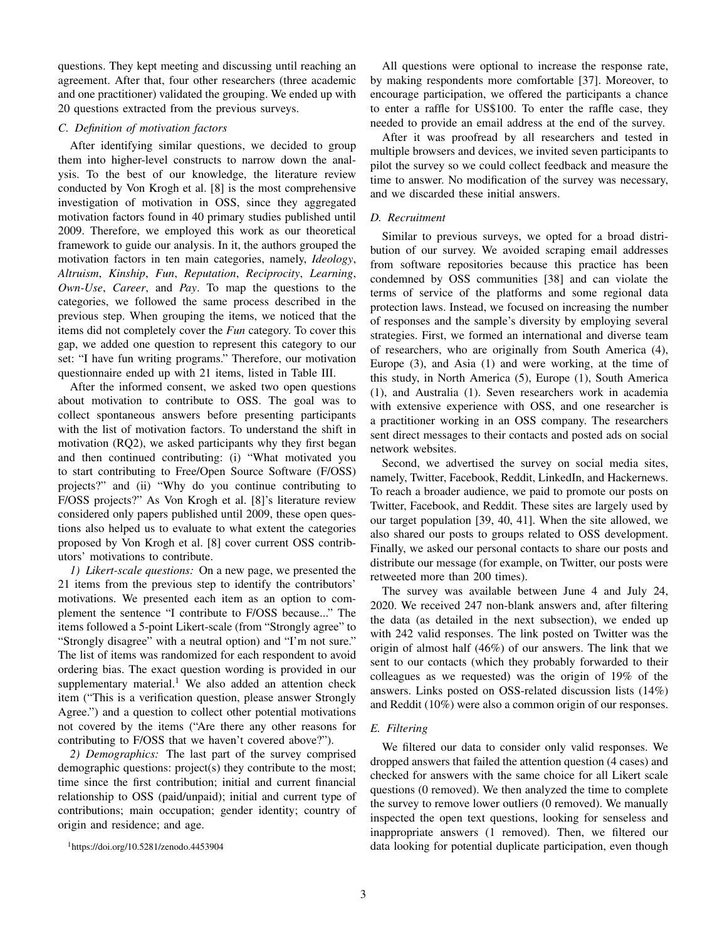questions. They kept meeting and discussing until reaching an agreement. After that, four other researchers (three academic and one practitioner) validated the grouping. We ended up with 20 questions extracted from the previous surveys.

#### *C. Definition of motivation factors*

After identifying similar questions, we decided to group them into higher-level constructs to narrow down the analysis. To the best of our knowledge, the literature review conducted by Von Krogh et al. [8] is the most comprehensive investigation of motivation in OSS, since they aggregated motivation factors found in 40 primary studies published until 2009. Therefore, we employed this work as our theoretical framework to guide our analysis. In it, the authors grouped the motivation factors in ten main categories, namely, *Ideology*, *Altruism*, *Kinship*, *Fun*, *Reputation*, *Reciprocity*, *Learning*, *Own-Use*, *Career*, and *Pay*. To map the questions to the categories, we followed the same process described in the previous step. When grouping the items, we noticed that the items did not completely cover the *Fun* category. To cover this gap, we added one question to represent this category to our set: "I have fun writing programs." Therefore, our motivation questionnaire ended up with 21 items, listed in Table III.

After the informed consent, we asked two open questions about motivation to contribute to OSS. The goal was to collect spontaneous answers before presenting participants with the list of motivation factors. To understand the shift in motivation (RQ2), we asked participants why they first began and then continued contributing: (i) "What motivated you to start contributing to Free/Open Source Software (F/OSS) projects?" and (ii) "Why do you continue contributing to F/OSS projects?" As Von Krogh et al. [8]'s literature review considered only papers published until 2009, these open questions also helped us to evaluate to what extent the categories proposed by Von Krogh et al. [8] cover current OSS contributors' motivations to contribute.

*1) Likert-scale questions:* On a new page, we presented the 21 items from the previous step to identify the contributors' motivations. We presented each item as an option to complement the sentence "I contribute to F/OSS because..." The items followed a 5-point Likert-scale (from "Strongly agree" to "Strongly disagree" with a neutral option) and "I'm not sure." The list of items was randomized for each respondent to avoid ordering bias. The exact question wording is provided in our supplementary material.<sup>1</sup> We also added an attention check item ("This is a verification question, please answer Strongly Agree.") and a question to collect other potential motivations not covered by the items ("Are there any other reasons for contributing to F/OSS that we haven't covered above?").

*2) Demographics:* The last part of the survey comprised demographic questions: project(s) they contribute to the most; time since the first contribution; initial and current financial relationship to OSS (paid/unpaid); initial and current type of contributions; main occupation; gender identity; country of origin and residence; and age.

<sup>1</sup>https://doi.org/10.5281/zenodo.4453904

All questions were optional to increase the response rate, by making respondents more comfortable [37]. Moreover, to encourage participation, we offered the participants a chance to enter a raffle for US\$100. To enter the raffle case, they needed to provide an email address at the end of the survey.

After it was proofread by all researchers and tested in multiple browsers and devices, we invited seven participants to pilot the survey so we could collect feedback and measure the time to answer. No modification of the survey was necessary, and we discarded these initial answers.

#### *D. Recruitment*

Similar to previous surveys, we opted for a broad distribution of our survey. We avoided scraping email addresses from software repositories because this practice has been condemned by OSS communities [38] and can violate the terms of service of the platforms and some regional data protection laws. Instead, we focused on increasing the number of responses and the sample's diversity by employing several strategies. First, we formed an international and diverse team of researchers, who are originally from South America (4), Europe (3), and Asia (1) and were working, at the time of this study, in North America (5), Europe (1), South America (1), and Australia (1). Seven researchers work in academia with extensive experience with OSS, and one researcher is a practitioner working in an OSS company. The researchers sent direct messages to their contacts and posted ads on social network websites.

Second, we advertised the survey on social media sites, namely, Twitter, Facebook, Reddit, LinkedIn, and Hackernews. To reach a broader audience, we paid to promote our posts on Twitter, Facebook, and Reddit. These sites are largely used by our target population [39, 40, 41]. When the site allowed, we also shared our posts to groups related to OSS development. Finally, we asked our personal contacts to share our posts and distribute our message (for example, on Twitter, our posts were retweeted more than 200 times).

The survey was available between June 4 and July 24, 2020. We received 247 non-blank answers and, after filtering the data (as detailed in the next subsection), we ended up with 242 valid responses. The link posted on Twitter was the origin of almost half (46%) of our answers. The link that we sent to our contacts (which they probably forwarded to their colleagues as we requested) was the origin of 19% of the answers. Links posted on OSS-related discussion lists (14%) and Reddit (10%) were also a common origin of our responses.

#### *E. Filtering*

We filtered our data to consider only valid responses. We dropped answers that failed the attention question (4 cases) and checked for answers with the same choice for all Likert scale questions (0 removed). We then analyzed the time to complete the survey to remove lower outliers (0 removed). We manually inspected the open text questions, looking for senseless and inappropriate answers (1 removed). Then, we filtered our data looking for potential duplicate participation, even though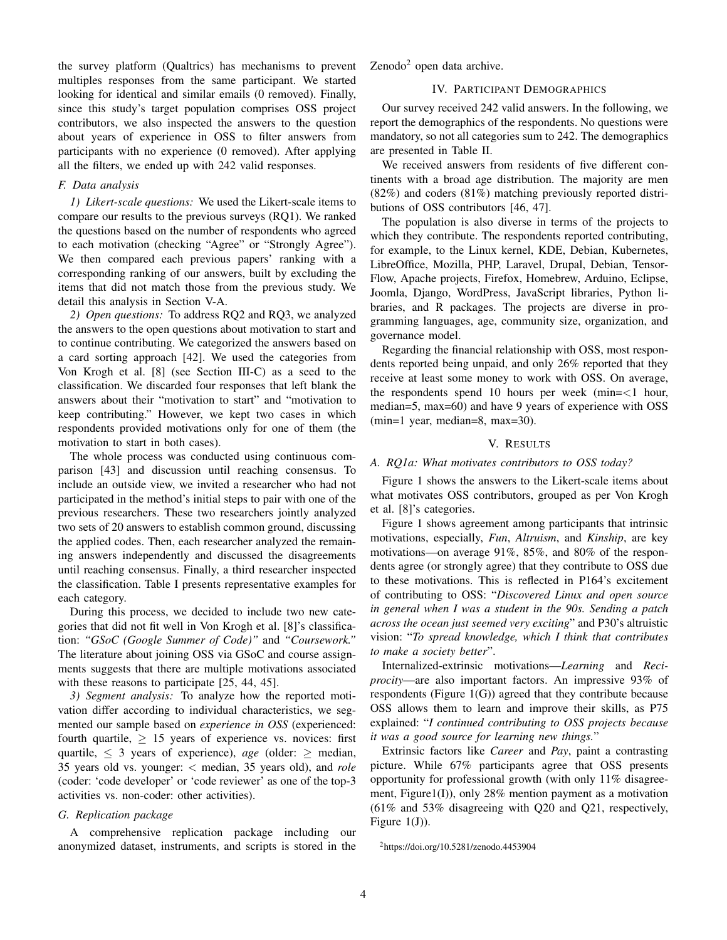the survey platform (Qualtrics) has mechanisms to prevent multiples responses from the same participant. We started looking for identical and similar emails (0 removed). Finally, since this study's target population comprises OSS project contributors, we also inspected the answers to the question about years of experience in OSS to filter answers from participants with no experience (0 removed). After applying all the filters, we ended up with 242 valid responses.

## *F. Data analysis*

*1) Likert-scale questions:* We used the Likert-scale items to compare our results to the previous surveys (RQ1). We ranked the questions based on the number of respondents who agreed to each motivation (checking "Agree" or "Strongly Agree"). We then compared each previous papers' ranking with a corresponding ranking of our answers, built by excluding the items that did not match those from the previous study. We detail this analysis in Section V-A.

*2) Open questions:* To address RQ2 and RQ3, we analyzed the answers to the open questions about motivation to start and to continue contributing. We categorized the answers based on a card sorting approach [42]. We used the categories from Von Krogh et al. [8] (see Section III-C) as a seed to the classification. We discarded four responses that left blank the answers about their "motivation to start" and "motivation to keep contributing." However, we kept two cases in which respondents provided motivations only for one of them (the motivation to start in both cases).

The whole process was conducted using continuous comparison [43] and discussion until reaching consensus. To include an outside view, we invited a researcher who had not participated in the method's initial steps to pair with one of the previous researchers. These two researchers jointly analyzed two sets of 20 answers to establish common ground, discussing the applied codes. Then, each researcher analyzed the remaining answers independently and discussed the disagreements until reaching consensus. Finally, a third researcher inspected the classification. Table I presents representative examples for each category.

During this process, we decided to include two new categories that did not fit well in Von Krogh et al. [8]'s classification: *"GSoC (Google Summer of Code)"* and *"Coursework."* The literature about joining OSS via GSoC and course assignments suggests that there are multiple motivations associated with these reasons to participate [25, 44, 45].

*3) Segment analysis:* To analyze how the reported motivation differ according to individual characteristics, we segmented our sample based on *experience in OSS* (experienced: fourth quartile,  $\geq 15$  years of experience vs. novices: first quartile,  $\leq$  3 years of experience), *age* (older:  $\geq$  median, 35 years old vs. younger: < median, 35 years old), and *role* (coder: 'code developer' or 'code reviewer' as one of the top-3 activities vs. non-coder: other activities).

# *G. Replication package*

A comprehensive replication package including our anonymized dataset, instruments, and scripts is stored in the  $\text{Zenodo}^2$  open data archive.

# IV. PARTICIPANT DEMOGRAPHICS

Our survey received 242 valid answers. In the following, we report the demographics of the respondents. No questions were mandatory, so not all categories sum to 242. The demographics are presented in Table II.

We received answers from residents of five different continents with a broad age distribution. The majority are men (82%) and coders (81%) matching previously reported distributions of OSS contributors [46, 47].

The population is also diverse in terms of the projects to which they contribute. The respondents reported contributing, for example, to the Linux kernel, KDE, Debian, Kubernetes, LibreOffice, Mozilla, PHP, Laravel, Drupal, Debian, Tensor-Flow, Apache projects, Firefox, Homebrew, Arduino, Eclipse, Joomla, Django, WordPress, JavaScript libraries, Python libraries, and R packages. The projects are diverse in programming languages, age, community size, organization, and governance model.

Regarding the financial relationship with OSS, most respondents reported being unpaid, and only 26% reported that they receive at least some money to work with OSS. On average, the respondents spend 10 hours per week (min=<1 hour, median=5, max=60) and have 9 years of experience with OSS (min=1 year, median=8, max=30).

## V. RESULTS

#### *A. RQ1a: What motivates contributors to OSS today?*

Figure 1 shows the answers to the Likert-scale items about what motivates OSS contributors, grouped as per Von Krogh et al. [8]'s categories.

Figure 1 shows agreement among participants that intrinsic motivations, especially, *Fun*, *Altruism*, and *Kinship*, are key motivations—on average 91%, 85%, and 80% of the respondents agree (or strongly agree) that they contribute to OSS due to these motivations. This is reflected in P164's excitement of contributing to OSS: "*Discovered Linux and open source in general when I was a student in the 90s. Sending a patch across the ocean just seemed very exciting*" and P30's altruistic vision: "*To spread knowledge, which I think that contributes to make a society better*".

Internalized-extrinsic motivations—*Learning* and *Reciprocity*—are also important factors. An impressive 93% of respondents (Figure 1(G)) agreed that they contribute because OSS allows them to learn and improve their skills, as P75 explained: "*I continued contributing to OSS projects because it was a good source for learning new things.*"

Extrinsic factors like *Career* and *Pay*, paint a contrasting picture. While 67% participants agree that OSS presents opportunity for professional growth (with only 11% disagreement, Figure1(I)), only 28% mention payment as a motivation (61% and 53% disagreeing with Q20 and Q21, respectively, Figure  $1(J)$ ).

<sup>2</sup>https://doi.org/10.5281/zenodo.4453904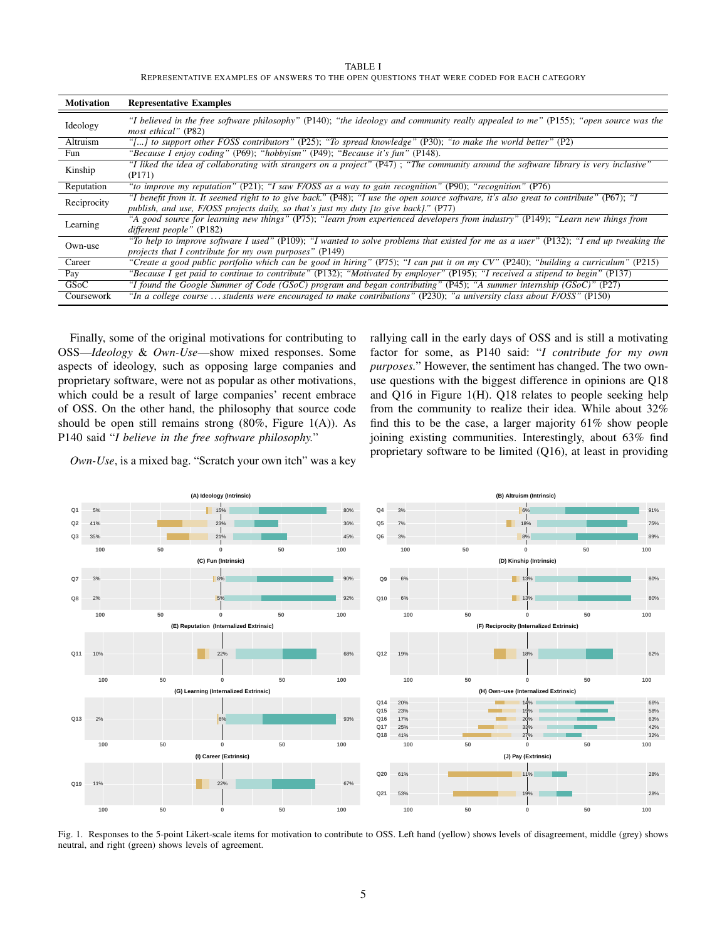TABLE I REPRESENTATIVE EXAMPLES OF ANSWERS TO THE OPEN QUESTIONS THAT WERE CODED FOR EACH CATEGORY

| <b>Motivation</b> | <b>Representative Examples</b>                                                                                                                                                                                                  |
|-------------------|---------------------------------------------------------------------------------------------------------------------------------------------------------------------------------------------------------------------------------|
| Ideology          | "I believed in the free software philosophy" (P140); "the ideology and community really appealed to me" (P155); "open source was the<br><i>most ethical</i> " (P82)                                                             |
| Altruism          | "[] to support other FOSS contributors" (P25); "To spread knowledge" (P30); "to make the world better" (P2)                                                                                                                     |
| Fun               | "Because I enjoy coding" (P69); "hobbyism" (P49); "Because it's fun" (P148).                                                                                                                                                    |
| Kinship           | "I liked the idea of collaborating with strangers on a project" (P47); "The community around the software library is very inclusive"<br>(P171)                                                                                  |
| Reputation        | "to improve my reputation" (P21); "I saw F/OSS as a way to gain recognition" (P90); "recognition" (P76)                                                                                                                         |
| Reciprocity       | "I benefit from it. It seemed right to to give back." (P48); "I use the open source software, it's also great to contribute" (P67); "I<br>publish, and use, F/OSS projects daily, so that's just my duty [to give back]." (P77) |
| Learning          | "A good source for learning new things" (P75); "learn from experienced developers from industry" (P149); "Learn new things from<br>different people" (P182)                                                                     |
| Own-use           | "To help to improve software I used" (P109); "I wanted to solve problems that existed for me as a user" (P132); "I end up tweaking the<br>projects that I contribute for my own purposes" (P149)                                |
| Career            | "Create a good public portfolio which can be good in hiring" (P75); "I can put it on my CV" (P240); "building a curriculum" (P215)                                                                                              |
| Pay               | "Because I get paid to continue to contribute" (P132); "Motivated by employer" (P195); "I received a stipend to begin" (P137)                                                                                                   |
| GSoC              | "I found the Google Summer of Code (GSoC) program and began contributing" (P45); "A summer internship (GSoC)" (P27)                                                                                                             |
| Coursework        | "In a college course  students were encouraged to make contributions" (P230); "a university class about F/OSS" (P150)                                                                                                           |

Finally, some of the original motivations for contributing to OSS—*Ideology* & *Own-Use*—show mixed responses. Some aspects of ideology, such as opposing large companies and proprietary software, were not as popular as other motivations, which could be a result of large companies' recent embrace of OSS. On the other hand, the philosophy that source code should be open still remains strong (80%, Figure 1(A)). As P140 said "*I believe in the free software philosophy.*"

rallying call in the early days of OSS and is still a motivating factor for some, as P140 said: "*I contribute for my own purposes.*" However, the sentiment has changed. The two ownuse questions with the biggest difference in opinions are Q18 and Q16 in Figure 1(H). Q18 relates to people seeking help from the community to realize their idea. While about 32% find this to be the case, a larger majority 61% show people joining existing communities. Interestingly, about 63% find proprietary software to be limited (Q16), at least in providing

*Own-Use*, is a mixed bag. "Scratch your own itch" was a key



Fig. 1. Responses to the 5-point Likert-scale items for motivation to contribute to OSS. Left hand (yellow) shows levels of disagreement, middle (grey) shows neutral, and right (green) shows levels of agreement.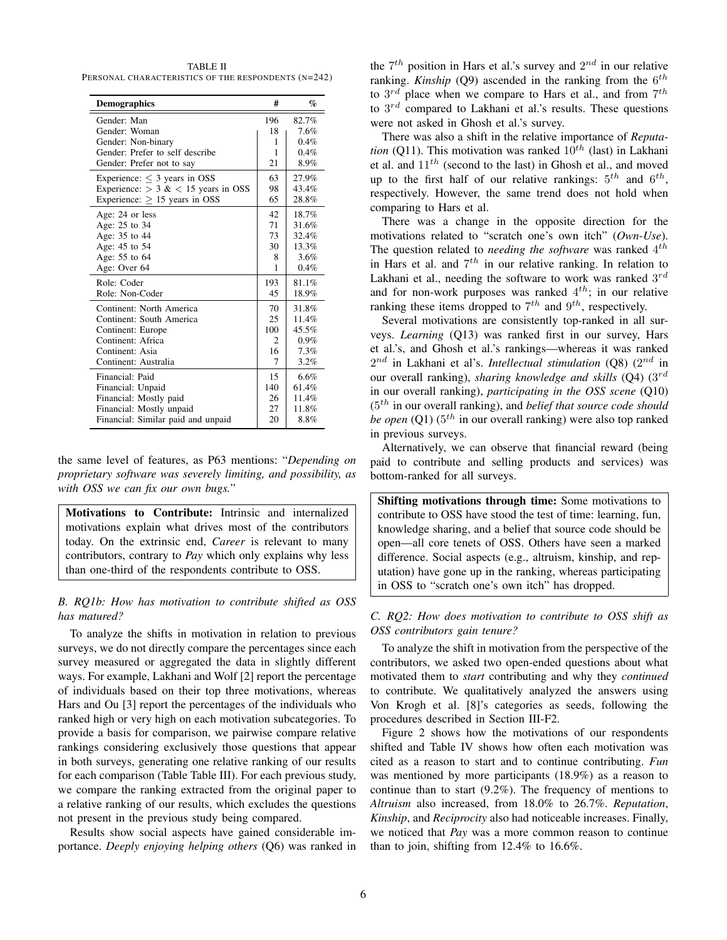TABLE II PERSONAL CHARACTERISTICS OF THE RESPONDENTS (N=242)

| <b>Demographics</b>                     | #              | $\%$    |
|-----------------------------------------|----------------|---------|
| Gender: Man                             | 196            | 82.7%   |
| Gender: Woman                           | 18             | 7.6%    |
| Gender: Non-binary                      | 1              | 0.4%    |
| Gender: Prefer to self describe         | 1              | 0.4%    |
| Gender: Prefer not to say               | 21             | 8.9%    |
| Experience: $\leq$ 3 years in OSS       | 63             | 27.9%   |
| Experience: $>$ 3 & $<$ 15 years in OSS | 98             | 43.4%   |
| Experience: $\geq$ 15 years in OSS      | 65             | 28.8%   |
| Age: 24 or less                         | 42.            | 18.7%   |
| Age: 25 to 34                           | 71             | 31.6%   |
| Age: 35 to 44                           | 73             | 32.4%   |
| Age: 45 to 54                           | 30             | 13.3%   |
| Age: 55 to 64                           | 8              | 3.6%    |
| Age: Over 64                            | 1              | 0.4%    |
| Role: Coder                             | 193            | 81.1%   |
| Role: Non-Coder                         | 45             | 18.9%   |
| Continent: North America                | 70             | 31.8%   |
| Continent: South America                | 25             | 11.4%   |
| Continent: Europe                       | 100            | 45.5%   |
| Continent: Africa                       | $\mathfrak{D}$ | $0.9\%$ |
| Continent: Asia                         | 16             | 7.3%    |
| Continent: Australia                    | 7              | 3.2%    |
| Financial: Paid                         | 15             | 6.6%    |
| Financial: Unpaid                       | 140            | 61.4%   |
| Financial: Mostly paid                  | 26             | 11.4%   |
| Financial: Mostly unpaid                | 27             | 11.8%   |
| Financial: Similar paid and unpaid      | 20             | 8.8%    |

the same level of features, as P63 mentions: "*Depending on proprietary software was severely limiting, and possibility, as with OSS we can fix our own bugs.*"

Motivations to Contribute: Intrinsic and internalized motivations explain what drives most of the contributors today. On the extrinsic end, *Career* is relevant to many contributors, contrary to *Pay* which only explains why less than one-third of the respondents contribute to OSS.

# *B. RQ1b: How has motivation to contribute shifted as OSS has matured?*

To analyze the shifts in motivation in relation to previous surveys, we do not directly compare the percentages since each survey measured or aggregated the data in slightly different ways. For example, Lakhani and Wolf [2] report the percentage of individuals based on their top three motivations, whereas Hars and Ou [3] report the percentages of the individuals who ranked high or very high on each motivation subcategories. To provide a basis for comparison, we pairwise compare relative rankings considering exclusively those questions that appear in both surveys, generating one relative ranking of our results for each comparison (Table Table III). For each previous study, we compare the ranking extracted from the original paper to a relative ranking of our results, which excludes the questions not present in the previous study being compared.

Results show social aspects have gained considerable importance. *Deeply enjoying helping others* (Q6) was ranked in the  $7<sup>th</sup>$  position in Hars et al.'s survey and  $2<sup>nd</sup>$  in our relative ranking. *Kinship* (Q9) ascended in the ranking from the  $6^{th}$ to  $3^{rd}$  place when we compare to Hars et al., and from  $7^{th}$ to  $3^{rd}$  compared to Lakhani et al.'s results. These questions were not asked in Ghosh et al.'s survey.

There was also a shift in the relative importance of *Reputation* (Q11). This motivation was ranked  $10^{th}$  (last) in Lakhani et al. and  $11^{th}$  (second to the last) in Ghosh et al., and moved up to the first half of our relative rankings:  $5^{th}$  and  $6^{th}$ , respectively. However, the same trend does not hold when comparing to Hars et al.

There was a change in the opposite direction for the motivations related to "scratch one's own itch" (*Own-Use*). The question related to *needing the software* was ranked 4<sup>th</sup> in Hars et al. and  $7^{th}$  in our relative ranking. In relation to Lakhani et al., needing the software to work was ranked  $3^{rd}$ and for non-work purposes was ranked  $4^{th}$ ; in our relative ranking these items dropped to  $7<sup>th</sup>$  and  $9<sup>th</sup>$ , respectively.

Several motivations are consistently top-ranked in all surveys. *Learning* (Q13) was ranked first in our survey, Hars et al.'s, and Ghosh et al.'s rankings—whereas it was ranked  $2^{nd}$  in Lakhani et al's. *Intellectual stimulation* (Q8)  $(2^{nd}$  in our overall ranking), *sharing knowledge and skills* (Q4) (3<sup>rd</sup> in our overall ranking), *participating in the OSS scene* (Q10) (5 th in our overall ranking), and *belief that source code should* be open (Q1) (5<sup>th</sup> in our overall ranking) were also top ranked in previous surveys.

Alternatively, we can observe that financial reward (being paid to contribute and selling products and services) was bottom-ranked for all surveys.

Shifting motivations through time: Some motivations to contribute to OSS have stood the test of time: learning, fun, knowledge sharing, and a belief that source code should be open—all core tenets of OSS. Others have seen a marked difference. Social aspects (e.g., altruism, kinship, and reputation) have gone up in the ranking, whereas participating in OSS to "scratch one's own itch" has dropped.

# *C. RQ2: How does motivation to contribute to OSS shift as OSS contributors gain tenure?*

To analyze the shift in motivation from the perspective of the contributors, we asked two open-ended questions about what motivated them to *start* contributing and why they *continued* to contribute. We qualitatively analyzed the answers using Von Krogh et al. [8]'s categories as seeds, following the procedures described in Section III-F2.

Figure 2 shows how the motivations of our respondents shifted and Table IV shows how often each motivation was cited as a reason to start and to continue contributing. *Fun* was mentioned by more participants (18.9%) as a reason to continue than to start (9.2%). The frequency of mentions to *Altruism* also increased, from 18.0% to 26.7%. *Reputation*, *Kinship*, and *Reciprocity* also had noticeable increases. Finally, we noticed that *Pay* was a more common reason to continue than to join, shifting from 12.4% to 16.6%.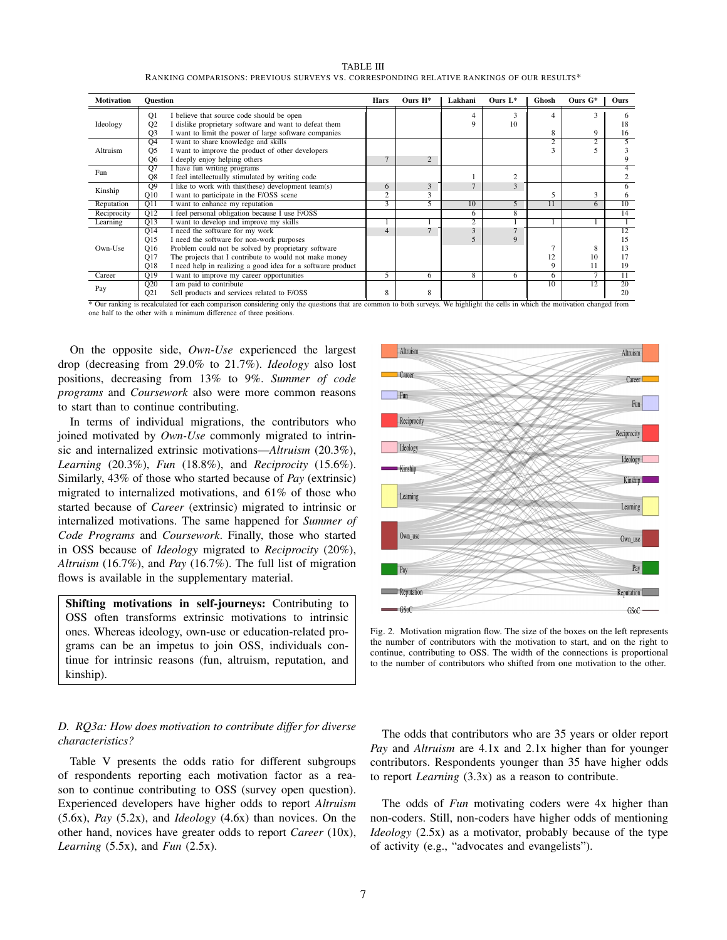| <b>Motivation</b> | <b>Ouestion</b>  |                                                             | Hars           | Ours $H^*$     | Lakhani        | Ours $L^*$     | Ghosh          | Ours $G^*$      | Ours            |
|-------------------|------------------|-------------------------------------------------------------|----------------|----------------|----------------|----------------|----------------|-----------------|-----------------|
|                   | O <sub>1</sub>   | I believe that source code should be open                   |                |                |                | 3              | Δ              | 3               |                 |
| Ideology          | Q2               | I dislike proprietary software and want to defeat them      |                |                |                | 10             |                |                 | 18              |
|                   | Q <sub>3</sub>   | I want to limit the power of large software companies       |                |                |                |                | 8              | 9               | 16              |
|                   | O <sub>4</sub>   | want to share knowledge and skills                          |                |                |                |                | $\overline{2}$ | $\overline{c}$  | 5               |
| Altruism          | O <sub>5</sub>   | I want to improve the product of other developers           |                |                |                |                |                |                 |                 |
|                   | Q <sub>6</sub>   | I deeply enjoy helping others                               |                | $\overline{2}$ |                |                |                |                 |                 |
|                   | $\overline{Q7}$  | I have fun writing programs                                 |                |                |                |                |                |                 |                 |
| Fun               | O8               | I feel intellectually stimulated by writing code            |                |                |                | $\overline{c}$ |                |                 |                 |
|                   | $\overline{O9}$  | I like to work with this (these) development team(s)        | 6              | 3              | $\mathbf{r}$   | 3              |                |                 | 6               |
| Kinship           | Q10              | I want to participate in the F/OSS scene                    | $\overline{c}$ |                |                |                |                | 3               | 6               |
| Reputation        | $\overline{O11}$ | want to enhance my reputation                               | $\overline{3}$ | 5              | 10             | 5              | 11             | 6               | $\overline{10}$ |
| Reciprocity       | Q12              | I feel personal obligation because I use F/OSS              |                |                | 6.             | $\overline{8}$ |                |                 | 14              |
| Learning          | O13              | I want to develop and improve my skills                     |                |                | $\overline{2}$ |                |                |                 |                 |
|                   | $\overline{O14}$ | I need the software for my work                             | $\overline{4}$ | $\overline{7}$ | 3              | $\overline{ }$ |                |                 | 12              |
|                   | Q15              | I need the software for non-work purposes                   |                |                |                | 9              |                |                 | 15              |
| Own-Use           | Q16              | Problem could not be solved by proprietary software         |                |                |                |                |                | 8               | 13              |
|                   | Q17              | The projects that I contribute to would not make money      |                |                |                |                | 12             | 10              | 17              |
|                   | Q18              | I need help in realizing a good idea for a software product |                |                |                |                | 9              | 11              | 19              |
| Career            | Q19              | I want to improve my career opportunities                   | 5              | 6              | $\overline{8}$ | 6              | 6              | $\overline{7}$  | 11              |
| Pay               | Q20              | am paid to contribute                                       |                |                |                |                | 10             | $\overline{12}$ | 20              |
|                   | Q <sub>21</sub>  | Sell products and services related to F/OSS                 | 8              | 8              |                |                |                |                 | 20              |

TABLE III RANKING COMPARISONS: PREVIOUS SURVEYS VS. CORRESPONDING RELATIVE RANKINGS OF OUR RESULTS\*

\* Our ranking is recalculated for each comparison considering only the questions that are common to both surveys. We highlight the cells in which the motivation changed from one half to the other with a minimum difference of three positions.

On the opposite side, *Own-Use* experienced the largest drop (decreasing from 29.0% to 21.7%). *Ideology* also lost positions, decreasing from 13% to 9%. *Summer of code programs* and *Coursework* also were more common reasons to start than to continue contributing.

In terms of individual migrations, the contributors who joined motivated by *Own-Use* commonly migrated to intrinsic and internalized extrinsic motivations—*Altruism* (20.3%), *Learning* (20.3%), *Fun* (18.8%), and *Reciprocity* (15.6%). Similarly, 43% of those who started because of *Pay* (extrinsic) migrated to internalized motivations, and 61% of those who started because of *Career* (extrinsic) migrated to intrinsic or internalized motivations. The same happened for *Summer of Code Programs* and *Coursework*. Finally, those who started in OSS because of *Ideology* migrated to *Reciprocity* (20%), *Altruism* (16.7%), and *Pay* (16.7%). The full list of migration flows is available in the supplementary material.

Shifting motivations in self-journeys: Contributing to OSS often transforms extrinsic motivations to intrinsic ones. Whereas ideology, own-use or education-related programs can be an impetus to join OSS, individuals continue for intrinsic reasons (fun, altruism, reputation, and kinship).

# *D. RQ3a: How does motivation to contribute differ for diverse characteristics?*

Table V presents the odds ratio for different subgroups of respondents reporting each motivation factor as a reason to continue contributing to OSS (survey open question). Experienced developers have higher odds to report *Altruism* (5.6x), *Pay* (5.2x), and *Ideology* (4.6x) than novices. On the other hand, novices have greater odds to report *Career* (10x), *Learning* (5.5x), and *Fun* (2.5x).



Fig. 2. Motivation migration flow. The size of the boxes on the left represents the number of contributors with the motivation to start, and on the right to continue, contributing to OSS. The width of the connections is proportional to the number of contributors who shifted from one motivation to the other.

The odds that contributors who are 35 years or older report *Pay* and *Altruism* are 4.1x and 2.1x higher than for younger contributors. Respondents younger than 35 have higher odds to report *Learning* (3.3x) as a reason to contribute.

The odds of *Fun* motivating coders were 4x higher than non-coders. Still, non-coders have higher odds of mentioning *Ideology* (2.5x) as a motivator, probably because of the type of activity (e.g., "advocates and evangelists").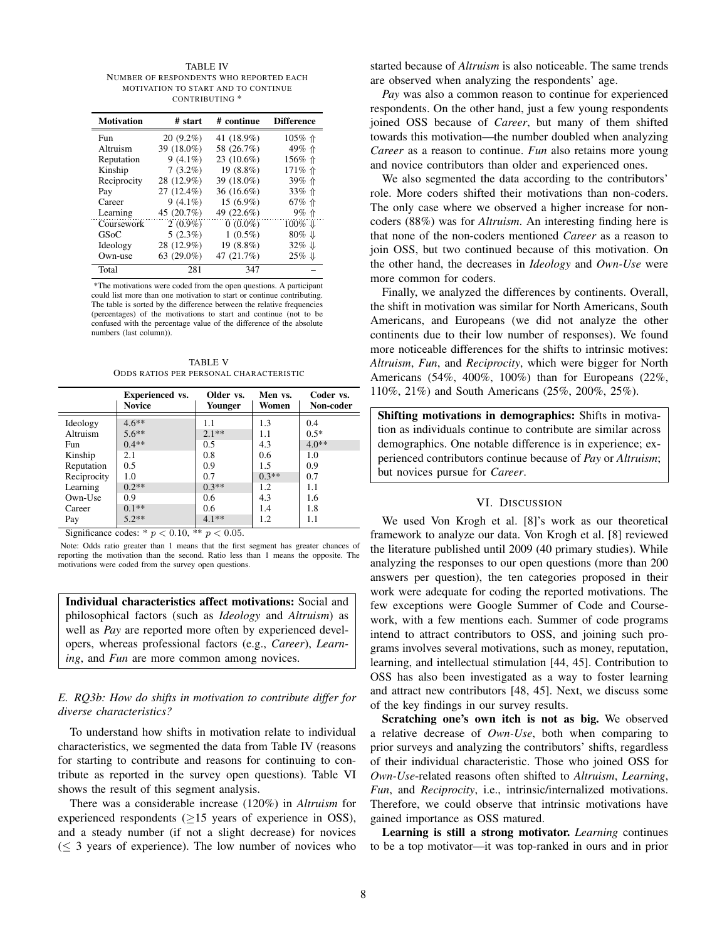TABLE IV NUMBER OF RESPONDENTS WHO REPORTED EACH MOTIVATION TO START AND TO CONTINUE CONTRIBUTING \*

| <b>Motivation</b> | # start       | # continue | <b>Difference</b>   |
|-------------------|---------------|------------|---------------------|
| <b>Fun</b>        | $20(9.2\%)$   | 41 (18.9%) | 105% 个              |
| Altruism          | 39 (18.0%)    | 58 (26.7%) | 49% 个               |
| Reputation        | $9(4.1\%)$    | 23 (10.6%) | 156% 个              |
| Kinship           | $7(3.2\%)$    | 19 (8.8%)  | 171% 个              |
| Reciprocity       | 28 (12.9%)    | 39 (18.0%) | 39% 个               |
| Pay               | $27(12.4\%)$  | 36 (16.6%) | 33% 个               |
| Career            | $9(4.1\%)$    | 15 (6.9%)  | 67% 个               |
| Learning          | 45 (20.7%)    | 49 (22.6%) | 9% 个                |
| Coursework        | $2(0.9\%)$    | $0(0.0\%)$ | 100% 业              |
| GSoC              | $5(2.3\%)$    | $1(0.5\%)$ | $80\%$ $\downarrow$ |
| Ideology          | 28 (12.9%)    | 19 (8.8%)  | $32\% \Downarrow$   |
| Own-use           | 63 $(29.0\%)$ | 47 (21.7%) | $25\% \Downarrow$   |
| Total             | 2.81          | 347        |                     |

\*The motivations were coded from the open questions. A participant could list more than one motivation to start or continue contributing. The table is sorted by the difference between the relative frequencies (percentages) of the motivations to start and continue (not to be confused with the percentage value of the difference of the absolute numbers (last column)).

TABLE V ODDS RATIOS PER PERSONAL CHARACTERISTIC

|             | <b>Experienced</b> vs.<br><b>Novice</b> | Older vs.<br>Younger  | Men vs.<br>Women | Coder vs.<br>Non-coder |
|-------------|-----------------------------------------|-----------------------|------------------|------------------------|
| Ideology    | $4.6**$                                 | 1.1                   | 1.3              | 0.4                    |
| Altruism    | $5.6**$                                 | $2.1**$               | 1.1              | $0.5*$                 |
| Fun         | $0.4**$                                 | 0.5                   | 4.3              | $4.0**$                |
| Kinship     | 2.1                                     | 0.8                   | 0.6              | 1.0                    |
| Reputation  | 0.5                                     | 0.9                   | 1.5              | 0.9                    |
| Reciprocity | 1.0                                     | 0.7                   | $0.3**$          | 0.7                    |
| Learning    | $0.2**$                                 | $0.3**$               | 1.2              | 1.1                    |
| Own-Use     | 0.9                                     | 0.6                   | 4.3              | 1.6                    |
| Career      | $0.1**$                                 | 0.6                   | 1.4              | 1.8                    |
| Pay         | $5.2**$<br>$a'$ $c$ $1$ $2$ $2010$      | $4.1**$<br>$44 - 200$ | 1.2              | 1.1                    |

Significance codes: \*  $p < 0.10$ , \*\*  $p < 0.05$ .

Note: Odds ratio greater than 1 means that the first segment has greater chances of reporting the motivation than the second. Ratio less than 1 means the opposite. The motivations were coded from the survey open questions.

Individual characteristics affect motivations: Social and philosophical factors (such as *Ideology* and *Altruism*) as well as *Pay* are reported more often by experienced developers, whereas professional factors (e.g., *Career*), *Learning*, and *Fun* are more common among novices.

# *E. RQ3b: How do shifts in motivation to contribute differ for diverse characteristics?*

To understand how shifts in motivation relate to individual characteristics, we segmented the data from Table IV (reasons for starting to contribute and reasons for continuing to contribute as reported in the survey open questions). Table VI shows the result of this segment analysis.

There was a considerable increase (120%) in *Altruism* for experienced respondents  $(>15$  years of experience in OSS), and a steady number (if not a slight decrease) for novices  $(\leq 3$  years of experience). The low number of novices who started because of *Altruism* is also noticeable. The same trends are observed when analyzing the respondents' age.

*Pay* was also a common reason to continue for experienced respondents. On the other hand, just a few young respondents joined OSS because of *Career*, but many of them shifted towards this motivation—the number doubled when analyzing *Career* as a reason to continue. *Fun* also retains more young and novice contributors than older and experienced ones.

We also segmented the data according to the contributors' role. More coders shifted their motivations than non-coders. The only case where we observed a higher increase for noncoders (88%) was for *Altruism*. An interesting finding here is that none of the non-coders mentioned *Career* as a reason to join OSS, but two continued because of this motivation. On the other hand, the decreases in *Ideology* and *Own-Use* were more common for coders.

Finally, we analyzed the differences by continents. Overall, the shift in motivation was similar for North Americans, South Americans, and Europeans (we did not analyze the other continents due to their low number of responses). We found more noticeable differences for the shifts to intrinsic motives: *Altruism*, *Fun*, and *Reciprocity*, which were bigger for North Americans (54%, 400%, 100%) than for Europeans (22%, 110%, 21%) and South Americans (25%, 200%, 25%).

Shifting motivations in demographics: Shifts in motivation as individuals continue to contribute are similar across demographics. One notable difference is in experience; experienced contributors continue because of *Pay* or *Altruism*; but novices pursue for *Career*.

## VI. DISCUSSION

We used Von Krogh et al. [8]'s work as our theoretical framework to analyze our data. Von Krogh et al. [8] reviewed the literature published until 2009 (40 primary studies). While analyzing the responses to our open questions (more than 200 answers per question), the ten categories proposed in their work were adequate for coding the reported motivations. The few exceptions were Google Summer of Code and Coursework, with a few mentions each. Summer of code programs intend to attract contributors to OSS, and joining such programs involves several motivations, such as money, reputation, learning, and intellectual stimulation [44, 45]. Contribution to OSS has also been investigated as a way to foster learning and attract new contributors [48, 45]. Next, we discuss some of the key findings in our survey results.

Scratching one's own itch is not as big. We observed a relative decrease of *Own-Use*, both when comparing to prior surveys and analyzing the contributors' shifts, regardless of their individual characteristic. Those who joined OSS for *Own-Use*-related reasons often shifted to *Altruism*, *Learning*, *Fun*, and *Reciprocity*, i.e., intrinsic/internalized motivations. Therefore, we could observe that intrinsic motivations have gained importance as OSS matured.

Learning is still a strong motivator. *Learning* continues to be a top motivator—it was top-ranked in ours and in prior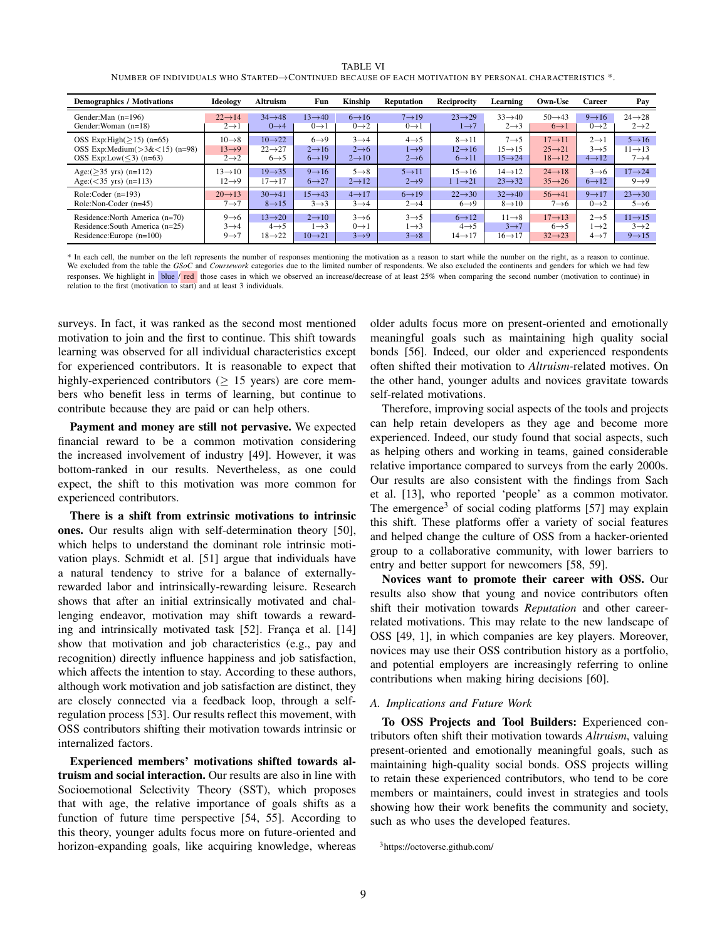| <b>TABLE VI</b>                                                                                                        |  |
|------------------------------------------------------------------------------------------------------------------------|--|
| NUMBER OF INDIVIDUALS WHO STARTED $\rightarrow$ Continued because of each motivation by personal characteristics $^*.$ |  |

| <b>Demographics / Motivations</b>     | Ideology            | <b>Altruism</b>     | Fun                 | Kinship            | <b>Reputation</b>  | Reciprocity         | Learning            | Own-Use             | <b>Career</b>      | Pay                 |
|---------------------------------------|---------------------|---------------------|---------------------|--------------------|--------------------|---------------------|---------------------|---------------------|--------------------|---------------------|
| Gender: Man $(n=196)$                 | $22 \rightarrow 14$ | $34 \rightarrow 48$ | $13 \rightarrow 40$ | $6 \rightarrow 16$ | $7 \rightarrow 19$ | $23 \rightarrow 29$ | $33 \rightarrow 40$ | $50 \rightarrow 43$ | $9 \rightarrow 16$ | $24 \rightarrow 28$ |
| Gender: Woman (n=18)                  | $2 \rightarrow 1$   | $0\rightarrow 4$    | $0 \rightarrow 1$   | $0\rightarrow 2$   | $0 \rightarrow 1$  | $1\rightarrow 7$    | $2 \rightarrow 3$   | $6 \rightarrow 1$   | $0\rightarrow 2$   | $2\rightarrow 2$    |
| OSS Exp:High $(>15)$ (n=65)           | $10 \rightarrow 8$  | $10 \rightarrow 22$ | $6 \rightarrow 9$   | $3\rightarrow 4$   | $4 \rightarrow 5$  | $8 \rightarrow 11$  | $7 \rightarrow 5$   | $17 \rightarrow 11$ | $2 \rightarrow 1$  | $5 \rightarrow 16$  |
| OSS Exp:Medium $($ >3& $<$ 15) (n=98) | $13 \rightarrow 9$  | $22 \rightarrow 27$ | $2 \rightarrow 16$  | $2 \rightarrow 6$  | $1\rightarrow 9$   | $12 \rightarrow 16$ | $15 \rightarrow 15$ | $25 \rightarrow 21$ | $3 \rightarrow 5$  | $11 \rightarrow 13$ |
| OSS Exp:Low( $\leq$ 3) (n=63)         | $2\rightarrow 2$    | $6 \rightarrow 5$   | $6 \rightarrow 19$  | $2 \rightarrow 10$ | $2 \rightarrow 6$  | $6 \rightarrow 11$  | $15 \rightarrow 24$ | $18 \rightarrow 12$ | $4 \rightarrow 12$ | $7\rightarrow 4$    |
| Age: $($ >35 yrs) (n=112)             | $13 \rightarrow 10$ | $19 \rightarrow 35$ | $9 \rightarrow 16$  | $5 \rightarrow 8$  | $5 \rightarrow 11$ | $15 \rightarrow 16$ | $14 \rightarrow 12$ | $24 \rightarrow 18$ | $3 \rightarrow 6$  | $17 \rightarrow 24$ |
| Age: $(<35 \text{ yrs})$ (n=113)      | $12 \rightarrow 9$  | $17 \rightarrow 17$ | $6 \rightarrow 27$  | $2 \rightarrow 12$ | $2 \rightarrow 9$  | $11 \rightarrow 21$ | $23 \rightarrow 32$ | $35 \rightarrow 26$ | $6 \rightarrow 12$ | $9 \rightarrow 9$   |
| Role:Coder $(n=193)$                  | $20 \rightarrow 13$ | $30 \rightarrow 41$ | $15 \rightarrow 43$ | $4 \rightarrow 17$ | $6 \rightarrow 19$ | $22 \rightarrow 30$ | $32 \rightarrow 40$ | $56 \rightarrow 41$ | $9 \rightarrow 17$ | $23 \rightarrow 30$ |
| Role:Non-Coder (n=45)                 | $7\rightarrow 7$    | $8 \rightarrow 15$  | $3 \rightarrow 3$   | $3 \rightarrow 4$  | $2 \rightarrow 4$  | $6 \rightarrow 9$   | $8 \rightarrow 10$  | $7 \rightarrow 6$   | $0 \rightarrow 2$  | $5 \rightarrow 6$   |
| Residence: North America (n=70)       | $9 \rightarrow 6$   | $13 \rightarrow 20$ | $2 \rightarrow 10$  | $3 \rightarrow 6$  | $3 \rightarrow 5$  | $6 \rightarrow 12$  | $11 \rightarrow 8$  | $17 \rightarrow 13$ | $2 \rightarrow 5$  | $11 \rightarrow 15$ |
| Residence: South America (n=25)       | $3\rightarrow 4$    | $4 \rightarrow 5$   | $1 \rightarrow 3$   | $0 \rightarrow 1$  | $1\rightarrow 3$   | $4 \rightarrow 5$   | $3 \rightarrow 7$   | $6 \rightarrow 5$   | $1\rightarrow 2$   | $3\rightarrow 2$    |
| Residence:Europe $(n=100)$            | $9 \rightarrow 7$   | $18 \rightarrow 22$ | $10 \rightarrow 21$ | $3 \rightarrow 9$  | $3 \rightarrow 8$  | $14 \rightarrow 17$ | $16 \rightarrow 17$ | $32 \rightarrow 23$ | $4 \rightarrow 7$  | $9 \rightarrow 15$  |

\* In each cell, the number on the left represents the number of responses mentioning the motivation as a reason to start while the number on the right, as a reason to continue. We excluded from the table the *GSoC* and *Coursework* categories due to the limited number of respondents. We also excluded the continents and genders for which we had few responses. We highlight in blue / red those cases in which we observed an increase/decrease of at least 25% when comparing the second number (motivation to continue) in relation to the first (motivation to start) and at least 3 individuals.

surveys. In fact, it was ranked as the second most mentioned motivation to join and the first to continue. This shift towards learning was observed for all individual characteristics except for experienced contributors. It is reasonable to expect that highly-experienced contributors ( $\geq$  15 years) are core members who benefit less in terms of learning, but continue to contribute because they are paid or can help others.

Payment and money are still not pervasive. We expected financial reward to be a common motivation considering the increased involvement of industry [49]. However, it was bottom-ranked in our results. Nevertheless, as one could expect, the shift to this motivation was more common for experienced contributors.

There is a shift from extrinsic motivations to intrinsic ones. Our results align with self-determination theory [50], which helps to understand the dominant role intrinsic motivation plays. Schmidt et al. [51] argue that individuals have a natural tendency to strive for a balance of externallyrewarded labor and intrinsically-rewarding leisure. Research shows that after an initial extrinsically motivated and challenging endeavor, motivation may shift towards a rewarding and intrinsically motivated task [52]. França et al. [14] show that motivation and job characteristics (e.g., pay and recognition) directly influence happiness and job satisfaction, which affects the intention to stay. According to these authors, although work motivation and job satisfaction are distinct, they are closely connected via a feedback loop, through a selfregulation process [53]. Our results reflect this movement, with OSS contributors shifting their motivation towards intrinsic or internalized factors.

Experienced members' motivations shifted towards altruism and social interaction. Our results are also in line with Socioemotional Selectivity Theory (SST), which proposes that with age, the relative importance of goals shifts as a function of future time perspective [54, 55]. According to this theory, younger adults focus more on future-oriented and horizon-expanding goals, like acquiring knowledge, whereas older adults focus more on present-oriented and emotionally meaningful goals such as maintaining high quality social bonds [56]. Indeed, our older and experienced respondents often shifted their motivation to *Altruism*-related motives. On the other hand, younger adults and novices gravitate towards self-related motivations.

Therefore, improving social aspects of the tools and projects can help retain developers as they age and become more experienced. Indeed, our study found that social aspects, such as helping others and working in teams, gained considerable relative importance compared to surveys from the early 2000s. Our results are also consistent with the findings from Sach et al. [13], who reported 'people' as a common motivator. The emergence<sup>3</sup> of social coding platforms  $[57]$  may explain this shift. These platforms offer a variety of social features and helped change the culture of OSS from a hacker-oriented group to a collaborative community, with lower barriers to entry and better support for newcomers [58, 59].

Novices want to promote their career with OSS. Our results also show that young and novice contributors often shift their motivation towards *Reputation* and other careerrelated motivations. This may relate to the new landscape of OSS [49, 1], in which companies are key players. Moreover, novices may use their OSS contribution history as a portfolio, and potential employers are increasingly referring to online contributions when making hiring decisions [60].

## *A. Implications and Future Work*

To OSS Projects and Tool Builders: Experienced contributors often shift their motivation towards *Altruism*, valuing present-oriented and emotionally meaningful goals, such as maintaining high-quality social bonds. OSS projects willing to retain these experienced contributors, who tend to be core members or maintainers, could invest in strategies and tools showing how their work benefits the community and society, such as who uses the developed features.

<sup>3</sup>https://octoverse.github.com/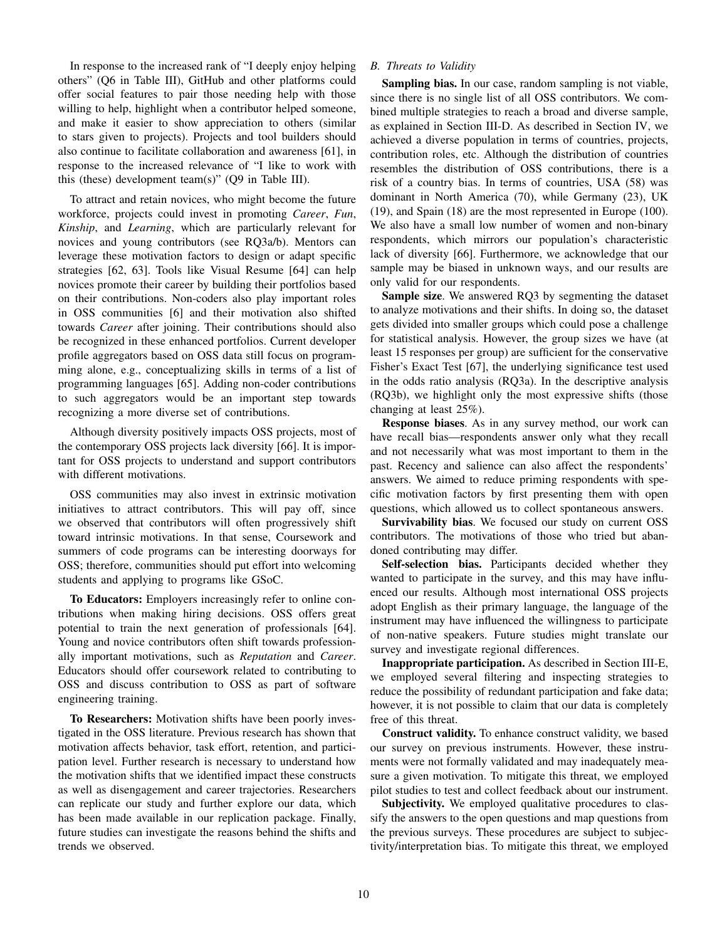In response to the increased rank of "I deeply enjoy helping others" (Q6 in Table III), GitHub and other platforms could offer social features to pair those needing help with those willing to help, highlight when a contributor helped someone, and make it easier to show appreciation to others (similar to stars given to projects). Projects and tool builders should also continue to facilitate collaboration and awareness [61], in response to the increased relevance of "I like to work with this (these) development team(s)" ( $Q9$  in Table III).

To attract and retain novices, who might become the future workforce, projects could invest in promoting *Career*, *Fun*, *Kinship*, and *Learning*, which are particularly relevant for novices and young contributors (see RQ3a/b). Mentors can leverage these motivation factors to design or adapt specific strategies [62, 63]. Tools like Visual Resume [64] can help novices promote their career by building their portfolios based on their contributions. Non-coders also play important roles in OSS communities [6] and their motivation also shifted towards *Career* after joining. Their contributions should also be recognized in these enhanced portfolios. Current developer profile aggregators based on OSS data still focus on programming alone, e.g., conceptualizing skills in terms of a list of programming languages [65]. Adding non-coder contributions to such aggregators would be an important step towards recognizing a more diverse set of contributions.

Although diversity positively impacts OSS projects, most of the contemporary OSS projects lack diversity [66]. It is important for OSS projects to understand and support contributors with different motivations.

OSS communities may also invest in extrinsic motivation initiatives to attract contributors. This will pay off, since we observed that contributors will often progressively shift toward intrinsic motivations. In that sense, Coursework and summers of code programs can be interesting doorways for OSS; therefore, communities should put effort into welcoming students and applying to programs like GSoC.

To Educators: Employers increasingly refer to online contributions when making hiring decisions. OSS offers great potential to train the next generation of professionals [64]. Young and novice contributors often shift towards professionally important motivations, such as *Reputation* and *Career*. Educators should offer coursework related to contributing to OSS and discuss contribution to OSS as part of software engineering training.

To Researchers: Motivation shifts have been poorly investigated in the OSS literature. Previous research has shown that motivation affects behavior, task effort, retention, and participation level. Further research is necessary to understand how the motivation shifts that we identified impact these constructs as well as disengagement and career trajectories. Researchers can replicate our study and further explore our data, which has been made available in our replication package. Finally, future studies can investigate the reasons behind the shifts and trends we observed.

# *B. Threats to Validity*

Sampling bias. In our case, random sampling is not viable, since there is no single list of all OSS contributors. We combined multiple strategies to reach a broad and diverse sample, as explained in Section III-D. As described in Section IV, we achieved a diverse population in terms of countries, projects, contribution roles, etc. Although the distribution of countries resembles the distribution of OSS contributions, there is a risk of a country bias. In terms of countries, USA (58) was dominant in North America (70), while Germany (23), UK (19), and Spain (18) are the most represented in Europe (100). We also have a small low number of women and non-binary respondents, which mirrors our population's characteristic lack of diversity [66]. Furthermore, we acknowledge that our sample may be biased in unknown ways, and our results are only valid for our respondents.

Sample size. We answered RQ3 by segmenting the dataset to analyze motivations and their shifts. In doing so, the dataset gets divided into smaller groups which could pose a challenge for statistical analysis. However, the group sizes we have (at least 15 responses per group) are sufficient for the conservative Fisher's Exact Test [67], the underlying significance test used in the odds ratio analysis (RQ3a). In the descriptive analysis (RQ3b), we highlight only the most expressive shifts (those changing at least 25%).

Response biases. As in any survey method, our work can have recall bias—respondents answer only what they recall and not necessarily what was most important to them in the past. Recency and salience can also affect the respondents' answers. We aimed to reduce priming respondents with specific motivation factors by first presenting them with open questions, which allowed us to collect spontaneous answers.

Survivability bias. We focused our study on current OSS contributors. The motivations of those who tried but abandoned contributing may differ.

Self-selection bias. Participants decided whether they wanted to participate in the survey, and this may have influenced our results. Although most international OSS projects adopt English as their primary language, the language of the instrument may have influenced the willingness to participate of non-native speakers. Future studies might translate our survey and investigate regional differences.

Inappropriate participation. As described in Section III-E, we employed several filtering and inspecting strategies to reduce the possibility of redundant participation and fake data; however, it is not possible to claim that our data is completely free of this threat.

Construct validity. To enhance construct validity, we based our survey on previous instruments. However, these instruments were not formally validated and may inadequately measure a given motivation. To mitigate this threat, we employed pilot studies to test and collect feedback about our instrument.

Subjectivity. We employed qualitative procedures to classify the answers to the open questions and map questions from the previous surveys. These procedures are subject to subjectivity/interpretation bias. To mitigate this threat, we employed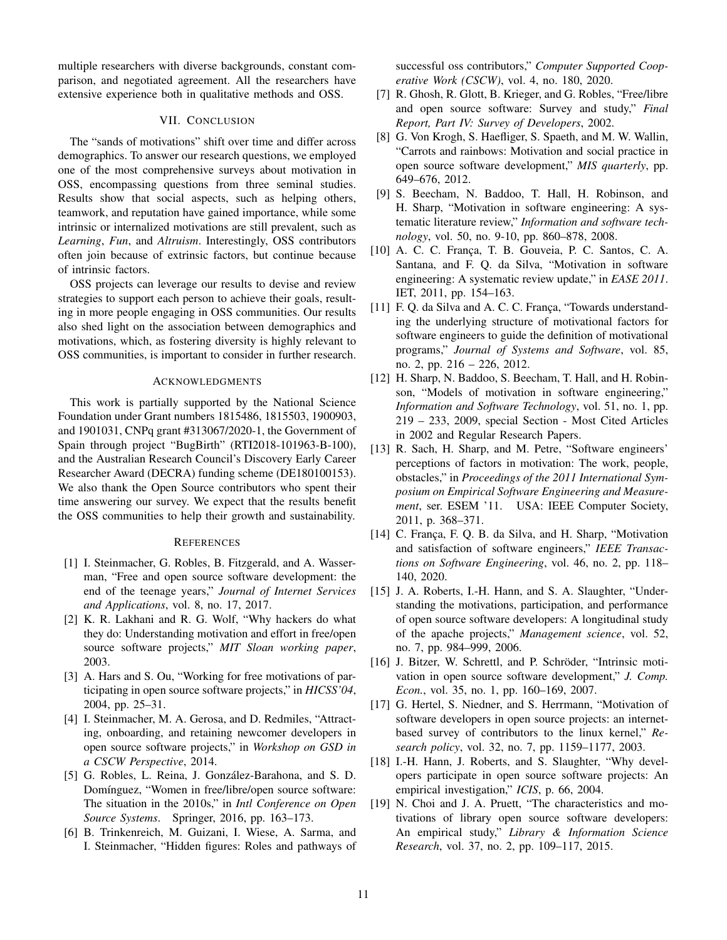multiple researchers with diverse backgrounds, constant comparison, and negotiated agreement. All the researchers have extensive experience both in qualitative methods and OSS.

#### VII. CONCLUSION

The "sands of motivations" shift over time and differ across demographics. To answer our research questions, we employed one of the most comprehensive surveys about motivation in OSS, encompassing questions from three seminal studies. Results show that social aspects, such as helping others, teamwork, and reputation have gained importance, while some intrinsic or internalized motivations are still prevalent, such as *Learning*, *Fun*, and *Altruism*. Interestingly, OSS contributors often join because of extrinsic factors, but continue because of intrinsic factors.

OSS projects can leverage our results to devise and review strategies to support each person to achieve their goals, resulting in more people engaging in OSS communities. Our results also shed light on the association between demographics and motivations, which, as fostering diversity is highly relevant to OSS communities, is important to consider in further research.

#### ACKNOWLEDGMENTS

This work is partially supported by the National Science Foundation under Grant numbers 1815486, 1815503, 1900903, and 1901031, CNPq grant #313067/2020-1, the Government of Spain through project "BugBirth" (RTI2018-101963-B-100), and the Australian Research Council's Discovery Early Career Researcher Award (DECRA) funding scheme (DE180100153). We also thank the Open Source contributors who spent their time answering our survey. We expect that the results benefit the OSS communities to help their growth and sustainability.

#### **REFERENCES**

- [1] I. Steinmacher, G. Robles, B. Fitzgerald, and A. Wasserman, "Free and open source software development: the end of the teenage years," *Journal of Internet Services and Applications*, vol. 8, no. 17, 2017.
- [2] K. R. Lakhani and R. G. Wolf, "Why hackers do what they do: Understanding motivation and effort in free/open source software projects," *MIT Sloan working paper*, 2003.
- [3] A. Hars and S. Ou, "Working for free motivations of participating in open source software projects," in *HICSS'04*, 2004, pp. 25–31.
- [4] I. Steinmacher, M. A. Gerosa, and D. Redmiles, "Attracting, onboarding, and retaining newcomer developers in open source software projects," in *Workshop on GSD in a CSCW Perspective*, 2014.
- [5] G. Robles, L. Reina, J. González-Barahona, and S. D. Domínguez, "Women in free/libre/open source software: The situation in the 2010s," in *Intl Conference on Open Source Systems*. Springer, 2016, pp. 163–173.
- [6] B. Trinkenreich, M. Guizani, I. Wiese, A. Sarma, and I. Steinmacher, "Hidden figures: Roles and pathways of

successful oss contributors," *Computer Supported Cooperative Work (CSCW)*, vol. 4, no. 180, 2020.

- [7] R. Ghosh, R. Glott, B. Krieger, and G. Robles, "Free/libre and open source software: Survey and study," *Final Report, Part IV: Survey of Developers*, 2002.
- [8] G. Von Krogh, S. Haefliger, S. Spaeth, and M. W. Wallin, "Carrots and rainbows: Motivation and social practice in open source software development," *MIS quarterly*, pp. 649–676, 2012.
- [9] S. Beecham, N. Baddoo, T. Hall, H. Robinson, and H. Sharp, "Motivation in software engineering: A systematic literature review," *Information and software technology*, vol. 50, no. 9-10, pp. 860–878, 2008.
- [10] A. C. C. França, T. B. Gouveia, P. C. Santos, C. A. Santana, and F. Q. da Silva, "Motivation in software engineering: A systematic review update," in *EASE 2011*. IET, 2011, pp. 154–163.
- [11] F. Q. da Silva and A. C. C. França, "Towards understanding the underlying structure of motivational factors for software engineers to guide the definition of motivational programs," *Journal of Systems and Software*, vol. 85, no. 2, pp. 216 – 226, 2012.
- [12] H. Sharp, N. Baddoo, S. Beecham, T. Hall, and H. Robinson, "Models of motivation in software engineering," *Information and Software Technology*, vol. 51, no. 1, pp. 219 – 233, 2009, special Section - Most Cited Articles in 2002 and Regular Research Papers.
- [13] R. Sach, H. Sharp, and M. Petre, "Software engineers' perceptions of factors in motivation: The work, people, obstacles," in *Proceedings of the 2011 International Symposium on Empirical Software Engineering and Measurement*, ser. ESEM '11. USA: IEEE Computer Society, 2011, p. 368–371.
- [14] C. França, F. Q. B. da Silva, and H. Sharp, "Motivation and satisfaction of software engineers," *IEEE Transactions on Software Engineering*, vol. 46, no. 2, pp. 118– 140, 2020.
- [15] J. A. Roberts, I.-H. Hann, and S. A. Slaughter, "Understanding the motivations, participation, and performance of open source software developers: A longitudinal study of the apache projects," *Management science*, vol. 52, no. 7, pp. 984–999, 2006.
- [16] J. Bitzer, W. Schrettl, and P. Schröder, "Intrinsic motivation in open source software development," *J. Comp. Econ.*, vol. 35, no. 1, pp. 160–169, 2007.
- [17] G. Hertel, S. Niedner, and S. Herrmann, "Motivation of software developers in open source projects: an internetbased survey of contributors to the linux kernel," *Research policy*, vol. 32, no. 7, pp. 1159–1177, 2003.
- [18] I.-H. Hann, J. Roberts, and S. Slaughter, "Why developers participate in open source software projects: An empirical investigation," *ICIS*, p. 66, 2004.
- [19] N. Choi and J. A. Pruett, "The characteristics and motivations of library open source software developers: An empirical study," *Library & Information Science Research*, vol. 37, no. 2, pp. 109–117, 2015.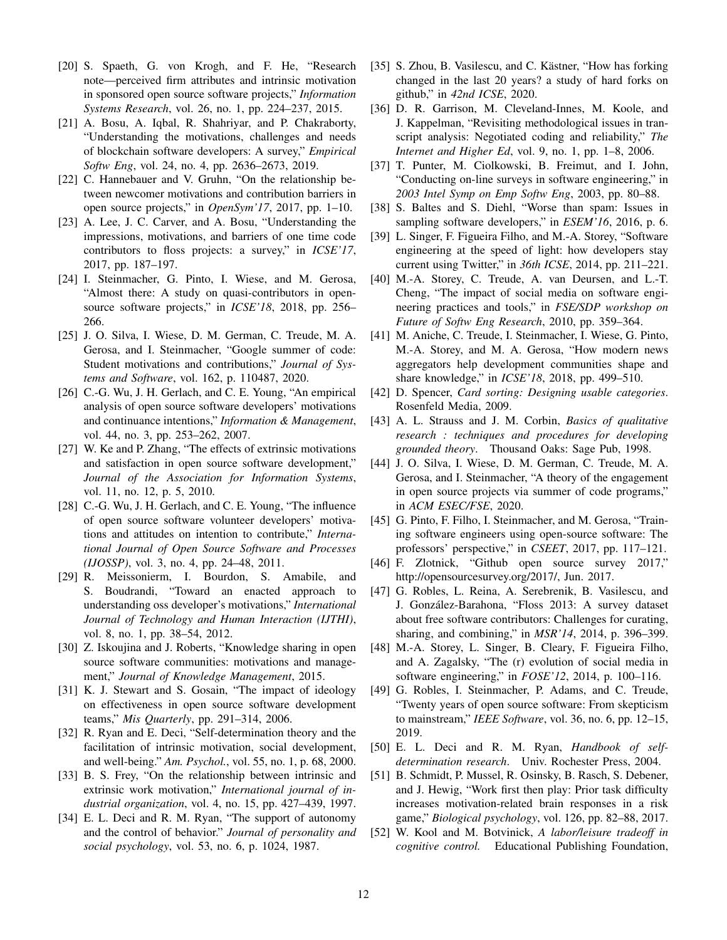- [20] S. Spaeth, G. von Krogh, and F. He, "Research note—perceived firm attributes and intrinsic motivation in sponsored open source software projects," *Information Systems Research*, vol. 26, no. 1, pp. 224–237, 2015.
- [21] A. Bosu, A. Iqbal, R. Shahriyar, and P. Chakraborty, "Understanding the motivations, challenges and needs of blockchain software developers: A survey," *Empirical Softw Eng*, vol. 24, no. 4, pp. 2636–2673, 2019.
- [22] C. Hannebauer and V. Gruhn, "On the relationship between newcomer motivations and contribution barriers in open source projects," in *OpenSym'17*, 2017, pp. 1–10.
- [23] A. Lee, J. C. Carver, and A. Bosu, "Understanding the impressions, motivations, and barriers of one time code contributors to floss projects: a survey," in *ICSE'17*, 2017, pp. 187–197.
- [24] I. Steinmacher, G. Pinto, I. Wiese, and M. Gerosa, "Almost there: A study on quasi-contributors in opensource software projects," in *ICSE'18*, 2018, pp. 256– 266.
- [25] J. O. Silva, I. Wiese, D. M. German, C. Treude, M. A. Gerosa, and I. Steinmacher, "Google summer of code: Student motivations and contributions," *Journal of Systems and Software*, vol. 162, p. 110487, 2020.
- [26] C.-G. Wu, J. H. Gerlach, and C. E. Young, "An empirical analysis of open source software developers' motivations and continuance intentions," *Information & Management*, vol. 44, no. 3, pp. 253–262, 2007.
- [27] W. Ke and P. Zhang, "The effects of extrinsic motivations and satisfaction in open source software development," *Journal of the Association for Information Systems*, vol. 11, no. 12, p. 5, 2010.
- [28] C.-G. Wu, J. H. Gerlach, and C. E. Young, "The influence of open source software volunteer developers' motivations and attitudes on intention to contribute," *International Journal of Open Source Software and Processes (IJOSSP)*, vol. 3, no. 4, pp. 24–48, 2011.
- [29] R. Meissonierm, I. Bourdon, S. Amabile, and S. Boudrandi, "Toward an enacted approach to understanding oss developer's motivations," *International Journal of Technology and Human Interaction (IJTHI)*, vol. 8, no. 1, pp. 38–54, 2012.
- [30] Z. Iskoujina and J. Roberts, "Knowledge sharing in open source software communities: motivations and management," *Journal of Knowledge Management*, 2015.
- [31] K. J. Stewart and S. Gosain, "The impact of ideology on effectiveness in open source software development teams," *Mis Quarterly*, pp. 291–314, 2006.
- [32] R. Ryan and E. Deci, "Self-determination theory and the facilitation of intrinsic motivation, social development, and well-being." *Am. Psychol.*, vol. 55, no. 1, p. 68, 2000.
- [33] B. S. Frey, "On the relationship between intrinsic and extrinsic work motivation," *International journal of industrial organization*, vol. 4, no. 15, pp. 427–439, 1997.
- [34] E. L. Deci and R. M. Ryan, "The support of autonomy and the control of behavior." *Journal of personality and social psychology*, vol. 53, no. 6, p. 1024, 1987.
- [35] S. Zhou, B. Vasilescu, and C. Kästner, "How has forking changed in the last 20 years? a study of hard forks on github," in *42nd ICSE*, 2020.
- [36] D. R. Garrison, M. Cleveland-Innes, M. Koole, and J. Kappelman, "Revisiting methodological issues in transcript analysis: Negotiated coding and reliability," *The Internet and Higher Ed*, vol. 9, no. 1, pp. 1–8, 2006.
- [37] T. Punter, M. Ciolkowski, B. Freimut, and I. John, "Conducting on-line surveys in software engineering," in *2003 Intel Symp on Emp Softw Eng*, 2003, pp. 80–88.
- [38] S. Baltes and S. Diehl, "Worse than spam: Issues in sampling software developers," in *ESEM'16*, 2016, p. 6.
- [39] L. Singer, F. Figueira Filho, and M.-A. Storey, "Software" engineering at the speed of light: how developers stay current using Twitter," in *36th ICSE*, 2014, pp. 211–221.
- [40] M.-A. Storey, C. Treude, A. van Deursen, and L.-T. Cheng, "The impact of social media on software engineering practices and tools," in *FSE/SDP workshop on Future of Softw Eng Research*, 2010, pp. 359–364.
- [41] M. Aniche, C. Treude, I. Steinmacher, I. Wiese, G. Pinto, M.-A. Storey, and M. A. Gerosa, "How modern news aggregators help development communities shape and share knowledge," in *ICSE'18*, 2018, pp. 499–510.
- [42] D. Spencer, *Card sorting: Designing usable categories*. Rosenfeld Media, 2009.
- [43] A. L. Strauss and J. M. Corbin, *Basics of qualitative research : techniques and procedures for developing grounded theory*. Thousand Oaks: Sage Pub, 1998.
- [44] J. O. Silva, I. Wiese, D. M. German, C. Treude, M. A. Gerosa, and I. Steinmacher, "A theory of the engagement in open source projects via summer of code programs," in *ACM ESEC/FSE*, 2020.
- [45] G. Pinto, F. Filho, I. Steinmacher, and M. Gerosa, "Training software engineers using open-source software: The professors' perspective," in *CSEET*, 2017, pp. 117–121.
- [46] F. Zlotnick, "Github open source survey 2017," http://opensourcesurvey.org/2017/, Jun. 2017.
- [47] G. Robles, L. Reina, A. Serebrenik, B. Vasilescu, and J. Gonzalez-Barahona, "Floss 2013: A survey dataset ´ about free software contributors: Challenges for curating, sharing, and combining," in *MSR'14*, 2014, p. 396–399.
- [48] M.-A. Storey, L. Singer, B. Cleary, F. Figueira Filho, and A. Zagalsky, "The (r) evolution of social media in software engineering," in *FOSE'12*, 2014, p. 100–116.
- [49] G. Robles, I. Steinmacher, P. Adams, and C. Treude, "Twenty years of open source software: From skepticism to mainstream," *IEEE Software*, vol. 36, no. 6, pp. 12–15, 2019.
- [50] E. L. Deci and R. M. Ryan, *Handbook of selfdetermination research*. Univ. Rochester Press, 2004.
- [51] B. Schmidt, P. Mussel, R. Osinsky, B. Rasch, S. Debener, and J. Hewig, "Work first then play: Prior task difficulty increases motivation-related brain responses in a risk game," *Biological psychology*, vol. 126, pp. 82–88, 2017.
- [52] W. Kool and M. Botvinick, *A labor/leisure tradeoff in cognitive control.* Educational Publishing Foundation,